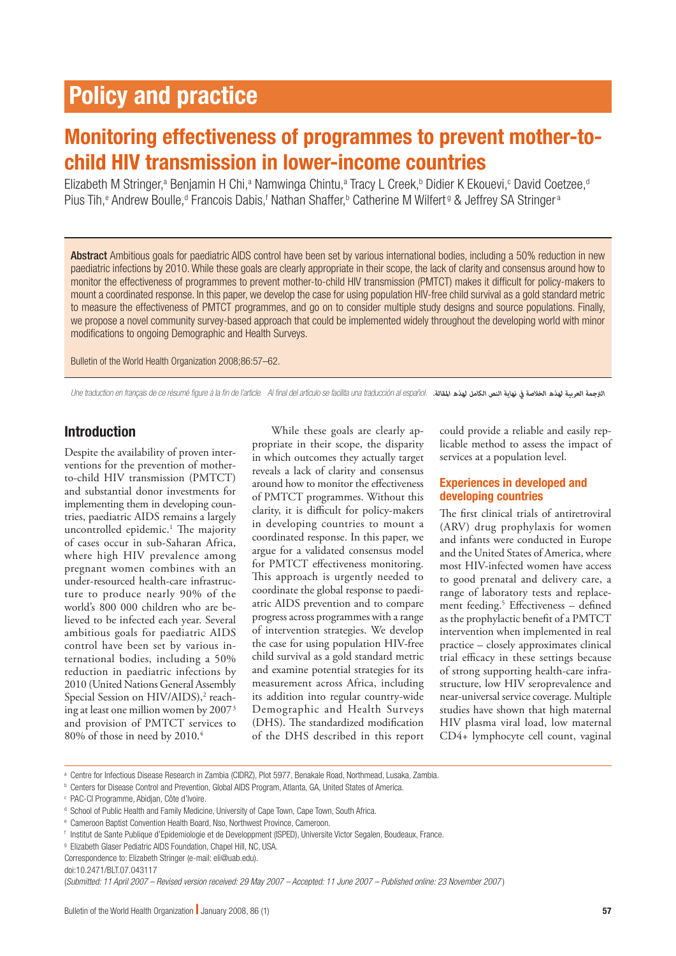# Policy and practice

## Monitoring effectiveness of programmes to prevent mother-tochild HIV transmission in lower-income countries

Elizabeth M Stringer,<sup>a</sup> Benjamin H Chi,<sup>a</sup> Namwinga Chintu,<sup>a</sup> Tracy L Creek,<sup>b</sup> Didier K Ekouevi,<sup>c</sup> David Coetzee,<sup>d</sup> Pius Tih,<sup>e</sup> Andrew Boulle,<sup>d</sup> Francois Dabis,<sup>f</sup> Nathan Shaffer,<sup>b</sup> Catherine M Wilfert<sup>g</sup> & Jeffrey SA Stringer<sup>a</sup>

Abstract Ambitious goals for paediatric AIDS control have been set by various international bodies, including a 50% reduction in new paediatric infections by 2010. While these goals are clearly appropriate in their scope, the lack of clarity and consensus around how to monitor the effectiveness of programmes to prevent mother-to-child HIV transmission (PMTCT) makes it difficult for policy-makers to mount a coordinated response. In this paper, we develop the case for using population HIV-free child survival as a gold standard metric to measure the effectiveness of PMTCT programmes, and go on to consider multiple study designs and source populations. Finally, we propose a novel community survey-based approach that could be implemented widely throughout the developing world with minor modifications to ongoing Demographic and Health Surveys.

Bulletin of the World Health Organization 2008;86:57–62.

Une traduction en français de ce résumé figure à la fin de l'article. Al final del artículo se facilita una traducción al español. *.املقالة لهذه الكامل النص نهاية يف الخالصة لهذه العربية الرتجمة*

### Introduction

Despite the availability of proven interventions for the prevention of motherto-child HIV transmission (PMTCT) and substantial donor investments for implementing them in developing countries, paediatric AIDS remains a largely uncontrolled epidemic.<sup>1</sup> The majority of cases occur in sub-Saharan Africa, where high HIV prevalence among pregnant women combines with an under-resourced health-care infrastructure to produce nearly 90% of the world's 800 000 children who are believed to be infected each year. Several ambitious goals for paediatric AIDS control have been set by various international bodies, including a 50% reduction in paediatric infections by 2010 (United Nations General Assembly Special Session on HIV/AIDS),<sup>2</sup> reaching at least one million women by 20073 and provision of PMTCT services to 80% of those in need by 2010.<sup>4</sup>

While these goals are clearly appropriate in their scope, the disparity in which outcomes they actually target reveals a lack of clarity and consensus around how to monitor the effectiveness of PMTCT programmes. Without this clarity, it is difficult for policy-makers in developing countries to mount a coordinated response. In this paper, we argue for a validated consensus model for PMTCT effectiveness monitoring. This approach is urgently needed to coordinate the global response to paediatric AIDS prevention and to compare progress across programmes with a range of intervention strategies. We develop the case for using population HIV-free child survival as a gold standard metric and examine potential strategies for its measurement across Africa, including its addition into regular country-wide Demographic and Health Surveys (DHS). The standardized modification of the DHS described in this report could provide a reliable and easily replicable method to assess the impact of services at a population level.

#### Experiences in developed and developing countries

The first clinical trials of antiretroviral (ARV) drug prophylaxis for women and infants were conducted in Europe and the United States of America, where most HIV-infected women have access to good prenatal and delivery care, a range of laboratory tests and replacement feeding.<sup>5</sup> Effectiveness - defined as the prophylactic benefit of a PMTCT intervention when implemented in real practice – closely approximates clinical trial efficacy in these settings because of strong supporting health-care infrastructure, low HIV seroprevalence and near-universal service coverage. Multiple studies have shown that high maternal HIV plasma viral load, low maternal CD4+ lymphocyte cell count, vaginal

a Centre for Infectious Disease Research in Zambia (CIDRZ), Plot 5977, Benakale Road, Northmead, Lusaka, Zambia.

- **D** Centers for Disease Control and Prevention, Global AIDS Program, Atlanta, GA, United States of America.
- c PAC-CI Programme, Abidjan, Côte d'Ivoire.

- <sup>9</sup> Elizabeth Glaser Pediatric AIDS Foundation, Chapel Hill, NC, USA.
- Correspondence to: Elizabeth Stringer (e-mail: eli@uab.edu).

d School of Public Health and Family Medicine, University of Cape Town, Cape Town, South Africa.

e Cameroon Baptist Convention Health Board, Nso, Northwest Province, Cameroon.

f Institut de Sante Publique d'Epidemiologie et de Developpment (ISPED), Universite Victor Segalen, Boudeaux, France.

doi:10.2471/BLT.07.043117

<sup>(</sup>*Submitted: 11 April 2007 – Revised version received: 29 May 2007 – Accepted: 11 June 2007 – Published online: 23 November 2007* )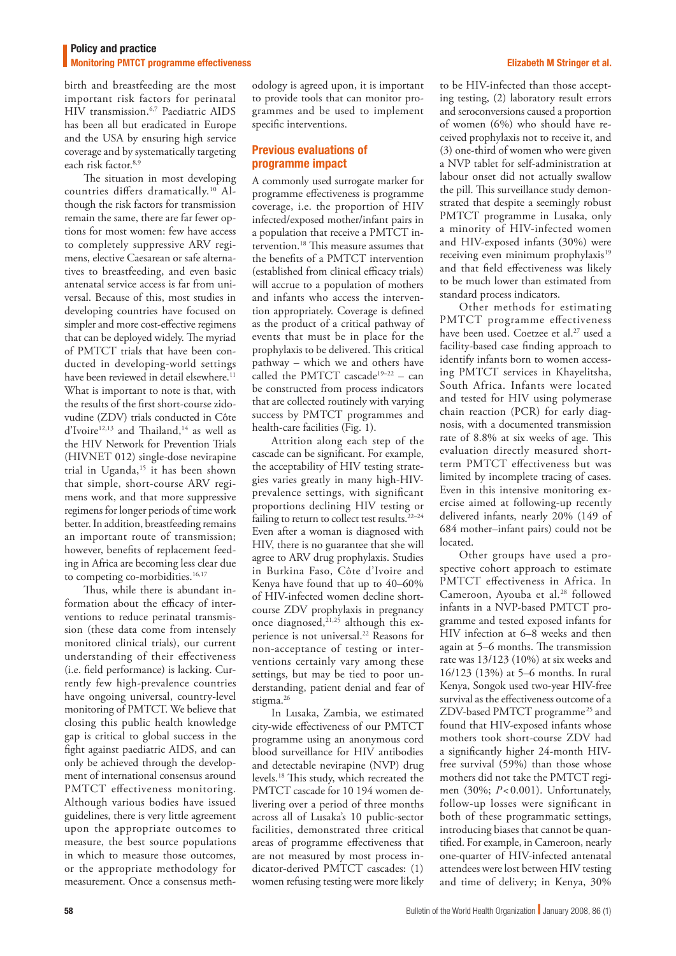birth and breastfeeding are the most important risk factors for perinatal HIV transmission.6,7 Paediatric AIDS has been all but eradicated in Europe and the USA by ensuring high service coverage and by systematically targeting each risk factor.<sup>8,9</sup>

The situation in most developing countries differs dramatically.10 Although the risk factors for transmission remain the same, there are far fewer options for most women: few have access to completely suppressive ARV regimens, elective Caesarean or safe alternatives to breastfeeding, and even basic antenatal service access is far from universal. Because of this, most studies in developing countries have focused on simpler and more cost-effective regimens that can be deployed widely. The myriad of PMTCT trials that have been conducted in developing-world settings have been reviewed in detail elsewhere.<sup>11</sup> What is important to note is that, with the results of the first short-course zidovudine (ZDV) trials conducted in Côte d'Ivoire<sup>12,13</sup> and Thailand,<sup>14</sup> as well as the HIV Network for Prevention Trials (HIVNET 012) single-dose nevirapine trial in Uganda,<sup>15</sup> it has been shown that simple, short-course ARV regimens work, and that more suppressive regimens for longer periods of time work better. In addition, breastfeeding remains an important route of transmission; however, benefits of replacement feeding in Africa are becoming less clear due to competing co-morbidities.<sup>16,17</sup>

Thus, while there is abundant information about the efficacy of interventions to reduce perinatal transmission (these data come from intensely monitored clinical trials), our current understanding of their effectiveness (i.e. field performance) is lacking. Currently few high-prevalence countries have ongoing universal, country-level monitoring of PMTCT. We believe that closing this public health knowledge gap is critical to global success in the fight against paediatric AIDS, and can only be achieved through the development of international consensus around PMTCT effectiveness monitoring. Although various bodies have issued guidelines, there is very little agreement upon the appropriate outcomes to measure, the best source populations in which to measure those outcomes, or the appropriate methodology for measurement. Once a consensus methodology is agreed upon, it is important to provide tools that can monitor programmes and be used to implement specific interventions.

#### Previous evaluations of programme impact

A commonly used surrogate marker for programme effectiveness is programme coverage, i.e. the proportion of HIV infected/exposed mother/infant pairs in a population that receive a PMTCT intervention.18 This measure assumes that the benefits of a PMTCT intervention (established from clinical efficacy trials) will accrue to a population of mothers and infants who access the intervention appropriately. Coverage is defined as the product of a critical pathway of events that must be in place for the prophylaxis to be delivered. This critical pathway – which we and others have called the PMTCT cascade<sup>19-22</sup> - can be constructed from process indicators that are collected routinely with varying success by PMTCT programmes and health-care facilities (Fig. 1).

Attrition along each step of the cascade can be significant. For example, the acceptability of HIV testing strategies varies greatly in many high-HIVprevalence settings, with significant proportions declining HIV testing or failing to return to collect test results.<sup>22-24</sup> Even after a woman is diagnosed with HIV, there is no guarantee that she will agree to ARV drug prophylaxis. Studies in Burkina Faso, Côte d'Ivoire and Kenya have found that up to 40–60% of HIV-infected women decline shortcourse ZDV prophylaxis in pregnancy once diagnosed, $^{21,25}$  although this experience is not universal.22 Reasons for non-acceptance of testing or interventions certainly vary among these settings, but may be tied to poor understanding, patient denial and fear of stigma.<sup>26</sup>

In Lusaka, Zambia, we estimated city-wide effectiveness of our PMTCT programme using an anonymous cord blood surveillance for HIV antibodies and detectable nevirapine (NVP) drug levels.18 This study, which recreated the PMTCT cascade for 10 194 women delivering over a period of three months across all of Lusaka's 10 public-sector facilities, demonstrated three critical areas of programme effectiveness that are not measured by most process indicator-derived PMTCT cascades: (1) women refusing testing were more likely

to be HIV-infected than those accepting testing, (2) laboratory result errors and seroconversions caused a proportion of women (6%) who should have received prophylaxis not to receive it, and (3) one-third of women who were given a NVP tablet for self-administration at labour onset did not actually swallow the pill. This surveillance study demonstrated that despite a seemingly robust PMTCT programme in Lusaka, only a minority of HIV-infected women and HIV-exposed infants (30%) were receiving even minimum prophylaxis<sup>19</sup> and that field effectiveness was likely to be much lower than estimated from standard process indicators.

Other methods for estimating PMTCT programme effectiveness have been used. Coetzee et al.<sup>27</sup> used a facility-based case finding approach to identify infants born to women accessing PMTCT services in Khayelitsha, South Africa. Infants were located and tested for HIV using polymerase chain reaction (PCR) for early diagnosis, with a documented transmission rate of 8.8% at six weeks of age. This evaluation directly measured shortterm PMTCT effectiveness but was limited by incomplete tracing of cases. Even in this intensive monitoring exercise aimed at following-up recently delivered infants, nearly 20% (149 of 684 mother–infant pairs) could not be located.

Other groups have used a prospective cohort approach to estimate PMTCT effectiveness in Africa. In Cameroon, Ayouba et al.<sup>28</sup> followed infants in a NVP-based PMTCT programme and tested exposed infants for HIV infection at 6–8 weeks and then again at 5–6 months. The transmission rate was 13/123 (10%) at six weeks and 16/123 (13%) at 5–6 months. In rural Kenya, Songok used two-year HIV-free survival as the effectiveness outcome of a ZDV-based PMTCT programme<sup>25</sup> and found that HIV-exposed infants whose mothers took short-course ZDV had a significantly higher 24-month HIVfree survival (59%) than those whose mothers did not take the PMTCT regimen (30%; *P*< 0.001). Unfortunately, follow-up losses were significant in both of these programmatic settings, introducing biases that cannot be quantified. For example, in Cameroon, nearly one-quarter of HIV-infected antenatal attendees were lost between HIV testing and time of delivery; in Kenya, 30%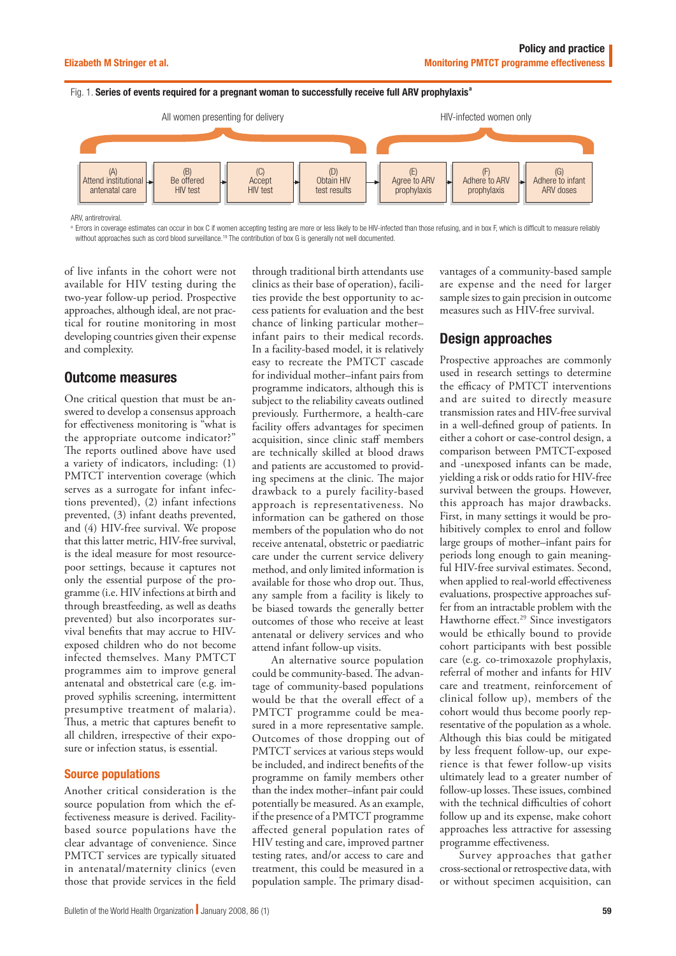#### Fig. 1. Series of events required for a pregnant woman to successfully receive full ARV prophylaxis<sup>a</sup>



ARV, antiretroviral.

a Errors in coverage estimates can occur in box C if women accepting testing are more or less likely to be HIV-infected than those refusing, and in box F, which is difficult to measure reliably without approaches such as cord blood surveillance.<sup>19</sup> The contribution of box G is generally not well documented.

of live infants in the cohort were not available for HIV testing during the two-year follow-up period. Prospective approaches, although ideal, are not practical for routine monitoring in most developing countries given their expense and complexity.

### Outcome measures

One critical question that must be answered to develop a consensus approach for effectiveness monitoring is "what is the appropriate outcome indicator?" The reports outlined above have used a variety of indicators, including: (1) PMTCT intervention coverage (which serves as a surrogate for infant infections prevented), (2) infant infections prevented, (3) infant deaths prevented, and (4) HIV-free survival. We propose that this latter metric, HIV-free survival, is the ideal measure for most resourcepoor settings, because it captures not only the essential purpose of the programme (i.e. HIV infections at birth and through breastfeeding, as well as deaths prevented) but also incorporates survival benefits that may accrue to HIVexposed children who do not become infected themselves. Many PMTCT programmes aim to improve general antenatal and obstetrical care (e.g. improved syphilis screening, intermittent presumptive treatment of malaria). Thus, a metric that captures benefit to all children, irrespective of their exposure or infection status, is essential.

#### Source populations

Another critical consideration is the source population from which the effectiveness measure is derived. Facilitybased source populations have the clear advantage of convenience. Since PMTCT services are typically situated in antenatal/maternity clinics (even those that provide services in the field

through traditional birth attendants use clinics as their base of operation), facilities provide the best opportunity to access patients for evaluation and the best chance of linking particular mother– infant pairs to their medical records. In a facility-based model, it is relatively easy to recreate the PMTCT cascade for individual mother–infant pairs from programme indicators, although this is subject to the reliability caveats outlined previously. Furthermore, a health-care facility offers advantages for specimen acquisition, since clinic staff members are technically skilled at blood draws and patients are accustomed to providing specimens at the clinic. The major drawback to a purely facility-based approach is representativeness. No information can be gathered on those members of the population who do not receive antenatal, obstetric or paediatric care under the current service delivery method, and only limited information is available for those who drop out. Thus, any sample from a facility is likely to be biased towards the generally better outcomes of those who receive at least antenatal or delivery services and who attend infant follow-up visits.

An alternative source population could be community-based. The advantage of community-based populations would be that the overall effect of a PMTCT programme could be measured in a more representative sample. Outcomes of those dropping out of PMTCT services at various steps would be included, and indirect benefits of the programme on family members other than the index mother–infant pair could potentially be measured. As an example, if the presence of a PMTCT programme affected general population rates of HIV testing and care, improved partner testing rates, and/or access to care and treatment, this could be measured in a population sample. The primary disadvantages of a community-based sample are expense and the need for larger sample sizes to gain precision in outcome measures such as HIV-free survival.

### Design approaches

Prospective approaches are commonly used in research settings to determine the efficacy of PMTCT interventions and are suited to directly measure transmission rates and HIV-free survival in a well-defined group of patients. In either a cohort or case-control design, a comparison between PMTCT-exposed and -unexposed infants can be made, yielding a risk or odds ratio for HIV-free survival between the groups. However, this approach has major drawbacks. First, in many settings it would be prohibitively complex to enrol and follow large groups of mother–infant pairs for periods long enough to gain meaningful HIV-free survival estimates. Second, when applied to real-world effectiveness evaluations, prospective approaches suffer from an intractable problem with the Hawthorne effect.<sup>29</sup> Since investigators would be ethically bound to provide cohort participants with best possible care (e.g. co-trimoxazole prophylaxis, referral of mother and infants for HIV care and treatment, reinforcement of clinical follow up), members of the cohort would thus become poorly representative of the population as a whole. Although this bias could be mitigated by less frequent follow-up, our experience is that fewer follow-up visits ultimately lead to a greater number of follow-up losses. These issues, combined with the technical difficulties of cohort follow up and its expense, make cohort approaches less attractive for assessing programme effectiveness.

Survey approaches that gather cross-sectional or retrospective data, with or without specimen acquisition, can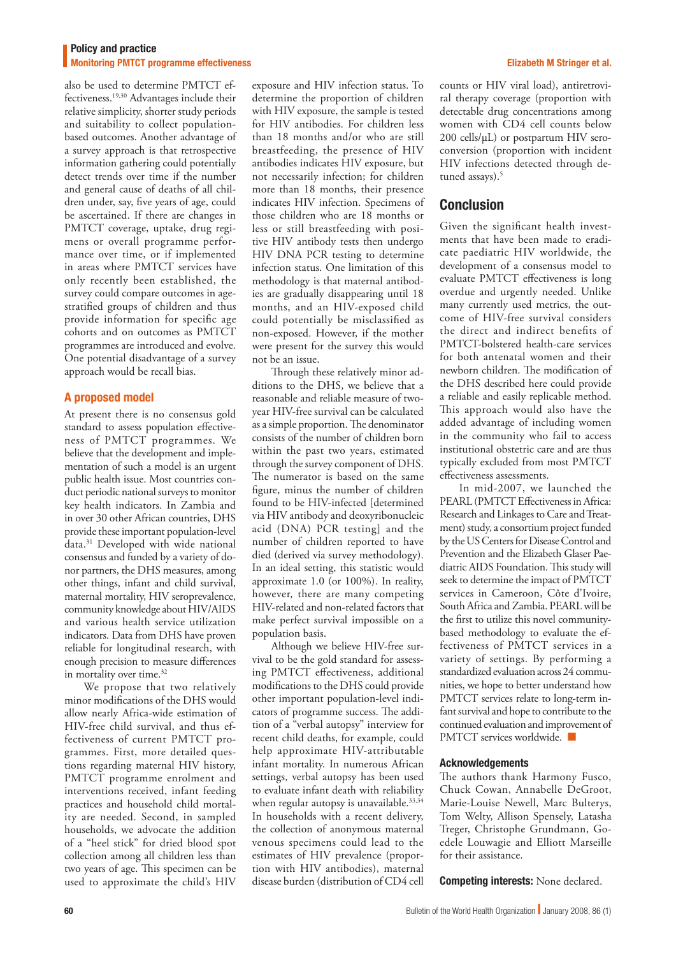also be used to determine PMTCT effectiveness.19,30 Advantages include their relative simplicity, shorter study periods and suitability to collect populationbased outcomes. Another advantage of a survey approach is that retrospective information gathering could potentially detect trends over time if the number and general cause of deaths of all children under, say, five years of age, could be ascertained. If there are changes in PMTCT coverage, uptake, drug regimens or overall programme performance over time, or if implemented in areas where PMTCT services have only recently been established, the survey could compare outcomes in agestratified groups of children and thus provide information for specific age cohorts and on outcomes as PMTCT programmes are introduced and evolve. One potential disadvantage of a survey approach would be recall bias.

#### A proposed model

At present there is no consensus gold standard to assess population effectiveness of PMTCT programmes. We believe that the development and implementation of such a model is an urgent public health issue. Most countries conduct periodic national surveys to monitor key health indicators. In Zambia and in over 30 other African countries, DHS provide these important population-level data.31 Developed with wide national consensus and funded by a variety of donor partners, the DHS measures, among other things, infant and child survival, maternal mortality, HIV seroprevalence, community knowledge about HIV/AIDS and various health service utilization indicators. Data from DHS have proven reliable for longitudinal research, with enough precision to measure differences in mortality over time.<sup>32</sup>

We propose that two relatively minor modifications of the DHS would allow nearly Africa-wide estimation of HIV-free child survival, and thus effectiveness of current PMTCT programmes. First, more detailed questions regarding maternal HIV history, PMTCT programme enrolment and interventions received, infant feeding practices and household child mortality are needed. Second, in sampled households, we advocate the addition of a "heel stick" for dried blood spot collection among all children less than two years of age. This specimen can be used to approximate the child's HIV

exposure and HIV infection status. To determine the proportion of children with HIV exposure, the sample is tested for HIV antibodies. For children less than 18 months and/or who are still breastfeeding, the presence of HIV antibodies indicates HIV exposure, but not necessarily infection; for children more than 18 months, their presence indicates HIV infection. Specimens of those children who are 18 months or less or still breastfeeding with positive HIV antibody tests then undergo HIV DNA PCR testing to determine infection status. One limitation of this methodology is that maternal antibodies are gradually disappearing until 18 months, and an HIV-exposed child could potentially be misclassified as non-exposed. However, if the mother were present for the survey this would not be an issue.

Through these relatively minor additions to the DHS, we believe that a reasonable and reliable measure of twoyear HIV-free survival can be calculated as a simple proportion. The denominator consists of the number of children born within the past two years, estimated through the survey component of DHS. The numerator is based on the same figure, minus the number of children found to be HIV-infected [determined via HIV antibody and deoxyribonucleic acid (DNA) PCR testing] and the number of children reported to have died (derived via survey methodology). In an ideal setting, this statistic would approximate 1.0 (or 100%). In reality, however, there are many competing HIV-related and non-related factors that make perfect survival impossible on a population basis.

Although we believe HIV-free survival to be the gold standard for assessing PMTCT effectiveness, additional modifications to the DHS could provide other important population-level indicators of programme success. The addition of a "verbal autopsy" interview for recent child deaths, for example, could help approximate HIV-attributable infant mortality. In numerous African settings, verbal autopsy has been used to evaluate infant death with reliability when regular autopsy is unavailable. $33,34$ In households with a recent delivery, the collection of anonymous maternal venous specimens could lead to the estimates of HIV prevalence (proportion with HIV antibodies), maternal disease burden (distribution of CD4 cell

counts or HIV viral load), antiretroviral therapy coverage (proportion with detectable drug concentrations among women with CD4 cell counts below  $200$  cells/ $\mu$ L) or postpartum HIV seroconversion (proportion with incident HIV infections detected through detuned assays).<sup>5</sup>

## **Conclusion**

Given the significant health investments that have been made to eradicate paediatric HIV worldwide, the development of a consensus model to evaluate PMTCT effectiveness is long overdue and urgently needed. Unlike many currently used metrics, the outcome of HIV-free survival considers the direct and indirect benefits of PMTCT-bolstered health-care services for both antenatal women and their newborn children. The modification of the DHS described here could provide a reliable and easily replicable method. This approach would also have the added advantage of including women in the community who fail to access institutional obstetric care and are thus typically excluded from most PMTCT effectiveness assessments.

In mid-2007, we launched the PEARL (PMTCT Effectiveness in Africa: Research and Linkages to Care and Treatment) study, a consortium project funded by the US Centers for Disease Control and Prevention and the Elizabeth Glaser Paediatric AIDS Foundation. This study will seek to determine the impact of PMTCT services in Cameroon, Côte d'Ivoire, South Africa and Zambia. PEARL will be the first to utilize this novel communitybased methodology to evaluate the effectiveness of PMTCT services in a variety of settings. By performing a standardized evaluation across 24 communities, we hope to better understand how PMTCT services relate to long-term infant survival and hope to contribute to the continued evaluation and improvement of PMTCT services worldwide. ■

#### Acknowledgements

The authors thank Harmony Fusco, Chuck Cowan, Annabelle DeGroot, Marie-Louise Newell, Marc Bulterys, Tom Welty, Allison Spensely, Latasha Treger, Christophe Grundmann, Goedele Louwagie and Elliott Marseille for their assistance.

Competing interests: None declared.